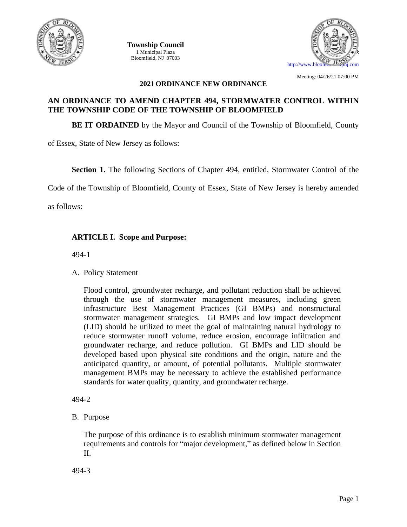

**Township Council** 1 Municipal Plaza *Municipal Clerk* Bloomfield, NJ 07003



Meeting: 04/26/21 07:00 PM

#### **2021 ORDINANCE NEW ORDINANCE**

# **AN ORDINANCE TO AMEND CHAPTER 494, STORMWATER CONTROL WITHIN THE TOWNSHIP CODE OF THE TOWNSHIP OF BLOOMFIELD**

**BE IT ORDAINED** by the Mayor and Council of the Township of Bloomfield, County

of Essex, State of New Jersey as follows:

**Section 1.** The following Sections of Chapter 494, entitled, Stormwater Control of the

Code of the Township of Bloomfield, County of Essex, State of New Jersey is hereby amended

as follows:

# **ARTICLE I. Scope and Purpose:**

494-1

A. Policy Statement

Flood control, groundwater recharge, and pollutant reduction shall be achieved through the use of stormwater management measures, including green infrastructure Best Management Practices (GI BMPs) and nonstructural stormwater management strategies. GI BMPs and low impact development (LID) should be utilized to meet the goal of maintaining natural hydrology to reduce stormwater runoff volume, reduce erosion, encourage infiltration and groundwater recharge, and reduce pollution. GI BMPs and LID should be developed based upon physical site conditions and the origin, nature and the anticipated quantity, or amount, of potential pollutants. Multiple stormwater management BMPs may be necessary to achieve the established performance standards for water quality, quantity, and groundwater recharge.

494-2

B. Purpose

The purpose of this ordinance is to establish minimum stormwater management requirements and controls for "major development," as defined below in Section II.

494-3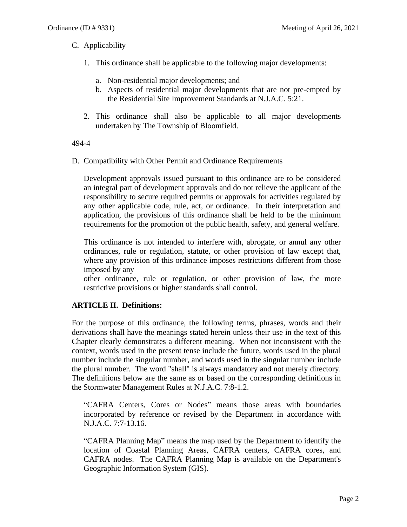# C. Applicability

- 1. This ordinance shall be applicable to the following major developments:
	- a. Non-residential major developments; and
	- b. Aspects of residential major developments that are not pre-empted by the Residential Site Improvement Standards at N.J.A.C. 5:21.
- 2. This ordinance shall also be applicable to all major developments undertaken by The Township of Bloomfield.

#### 494-4

D. Compatibility with Other Permit and Ordinance Requirements

Development approvals issued pursuant to this ordinance are to be considered an integral part of development approvals and do not relieve the applicant of the responsibility to secure required permits or approvals for activities regulated by any other applicable code, rule, act, or ordinance. In their interpretation and application, the provisions of this ordinance shall be held to be the minimum requirements for the promotion of the public health, safety, and general welfare.

This ordinance is not intended to interfere with, abrogate, or annul any other ordinances, rule or regulation, statute, or other provision of law except that, where any provision of this ordinance imposes restrictions different from those imposed by any

other ordinance, rule or regulation, or other provision of law, the more restrictive provisions or higher standards shall control.

# **ARTICLE II. Definitions:**

For the purpose of this ordinance, the following terms, phrases, words and their derivations shall have the meanings stated herein unless their use in the text of this Chapter clearly demonstrates a different meaning. When not inconsistent with the context, words used in the present tense include the future, words used in the plural number include the singular number, and words used in the singular number include the plural number. The word "shall" is always mandatory and not merely directory. The definitions below are the same as or based on the corresponding definitions in the Stormwater Management Rules at N.J.A.C. 7:8-1.2.

"CAFRA Centers, Cores or Nodes" means those areas with boundaries incorporated by reference or revised by the Department in accordance with N.J.A.C. 7:7-13.16.

"CAFRA Planning Map" means the map used by the Department to identify the location of Coastal Planning Areas, CAFRA centers, CAFRA cores, and CAFRA nodes. The CAFRA Planning Map is available on the Department's Geographic Information System (GIS).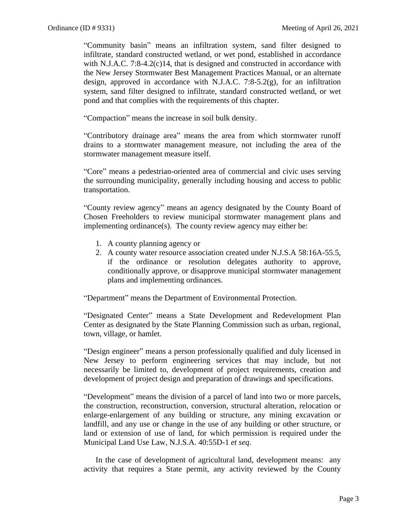"Community basin" means an infiltration system, sand filter designed to infiltrate, standard constructed wetland, or wet pond, established in accordance with N.J.A.C. 7:8-4.2(c)14, that is designed and constructed in accordance with the New Jersey Stormwater Best Management Practices Manual, or an alternate design, approved in accordance with N.J.A.C. 7:8-5.2(g), for an infiltration system, sand filter designed to infiltrate, standard constructed wetland, or wet pond and that complies with the requirements of this chapter.

"Compaction" means the increase in soil bulk density.

"Contributory drainage area" means the area from which stormwater runoff drains to a stormwater management measure, not including the area of the stormwater management measure itself.

"Core" means a pedestrian-oriented area of commercial and civic uses serving the surrounding municipality, generally including housing and access to public transportation.

"County review agency" means an agency designated by the County Board of Chosen Freeholders to review municipal stormwater management plans and implementing ordinance(s). The county review agency may either be:

- 1. A county planning agency or
- 2. A county water resource association created under N.J.S.A 58:16A-55.5, if the ordinance or resolution delegates authority to approve, conditionally approve, or disapprove municipal stormwater management plans and implementing ordinances.

"Department" means the Department of Environmental Protection.

"Designated Center" means a State Development and Redevelopment Plan Center as designated by the State Planning Commission such as urban, regional, town, village, or hamlet.

"Design engineer" means a person professionally qualified and duly licensed in New Jersey to perform engineering services that may include, but not necessarily be limited to, development of project requirements, creation and development of project design and preparation of drawings and specifications.

"Development" means the division of a parcel of land into two or more parcels, the construction, reconstruction, conversion, structural alteration, relocation or enlarge-enlargement of any building or structure, any mining excavation or landfill, and any use or change in the use of any building or other structure, or land or extension of use of land, for which permission is required under the Municipal Land Use Law, N.J.S.A. 40:55D-1 *et seq*.

In the case of development of agricultural land, development means: any activity that requires a State permit, any activity reviewed by the County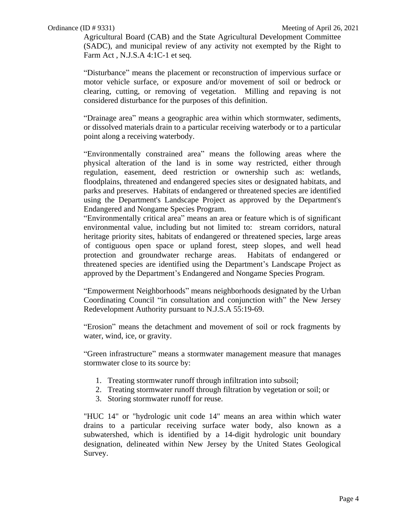Agricultural Board (CAB) and the State Agricultural Development Committee (SADC), and municipal review of any activity not exempted by the Right to Farm Act , N.J.S.A 4:1C-1 et seq.

"Disturbance" means the placement or reconstruction of impervious surface or motor vehicle surface, or exposure and/or movement of soil or bedrock or clearing, cutting, or removing of vegetation. Milling and repaving is not considered disturbance for the purposes of this definition.

"Drainage area" means a geographic area within which stormwater, sediments, or dissolved materials drain to a particular receiving waterbody or to a particular point along a receiving waterbody.

"Environmentally constrained area" means the following areas where the physical alteration of the land is in some way restricted, either through regulation, easement, deed restriction or ownership such as: wetlands, floodplains, threatened and endangered species sites or designated habitats, and parks and preserves. Habitats of endangered or threatened species are identified using the Department's Landscape Project as approved by the Department's Endangered and Nongame Species Program.

"Environmentally critical area" means an area or feature which is of significant environmental value, including but not limited to: stream corridors, natural heritage priority sites, habitats of endangered or threatened species, large areas of contiguous open space or upland forest, steep slopes, and well head protection and groundwater recharge areas. Habitats of endangered or threatened species are identified using the Department's Landscape Project as approved by the Department's Endangered and Nongame Species Program.

"Empowerment Neighborhoods" means neighborhoods designated by the Urban Coordinating Council "in consultation and conjunction with" the New Jersey Redevelopment Authority pursuant to N.J.S.A 55:19-69.

"Erosion" means the detachment and movement of soil or rock fragments by water, wind, ice, or gravity.

"Green infrastructure" means a stormwater management measure that manages stormwater close to its source by:

- 1. Treating stormwater runoff through infiltration into subsoil;
- 2. Treating stormwater runoff through filtration by vegetation or soil; or
- 3. Storing stormwater runoff for reuse.

"HUC 14" or "hydrologic unit code 14" means an area within which water drains to a particular receiving surface water body, also known as a subwatershed, which is identified by a 14-digit hydrologic unit boundary designation, delineated within New Jersey by the United States Geological Survey.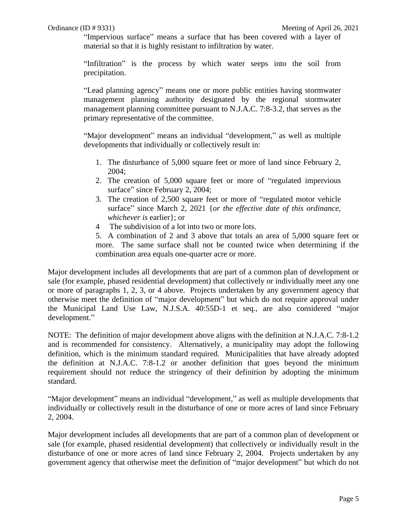"Impervious surface" means a surface that has been covered with a layer of material so that it is highly resistant to infiltration by water.

"Infiltration" is the process by which water seeps into the soil from precipitation.

"Lead planning agency" means one or more public entities having stormwater management planning authority designated by the regional stormwater management planning committee pursuant to N.J.A.C. 7:8-3.2, that serves as the primary representative of the committee.

"Major development" means an individual "development," as well as multiple developments that individually or collectively result in:

- 1. The disturbance of 5,000 square feet or more of land since February 2, 2004;
- 2. The creation of 5,000 square feet or more of "regulated impervious surface" since February 2, 2004;
- 3. The creation of 2,500 square feet or more of "regulated motor vehicle surface" since March 2, 2021 {*or the effective date of this ordinance, whichever is* earlier}; or
- 4 The subdivision of a lot into two or more lots.
- 5. A combination of 2 and 3 above that totals an area of 5,000 square feet or more. The same surface shall not be counted twice when determining if the combination area equals one-quarter acre or more.

Major development includes all developments that are part of a common plan of development or sale (for example, phased residential development) that collectively or individually meet any one or more of paragraphs 1, 2, 3, or 4 above. Projects undertaken by any government agency that otherwise meet the definition of "major development" but which do not require approval under the Municipal Land Use Law, N.J.S.A. 40:55D-1 et seq., are also considered "major development."

NOTE: The definition of major development above aligns with the definition at N.J.A.C. 7:8-1.2 and is recommended for consistency. Alternatively, a municipality may adopt the following definition, which is the minimum standard required. Municipalities that have already adopted the definition at N.J.A.C. 7:8-1.2 or another definition that goes beyond the minimum requirement should not reduce the stringency of their definition by adopting the minimum standard.

"Major development" means an individual "development," as well as multiple developments that individually or collectively result in the disturbance of one or more acres of land since February 2, 2004.

Major development includes all developments that are part of a common plan of development or sale (for example, phased residential development) that collectively or individually result in the disturbance of one or more acres of land since February 2, 2004. Projects undertaken by any government agency that otherwise meet the definition of "major development" but which do not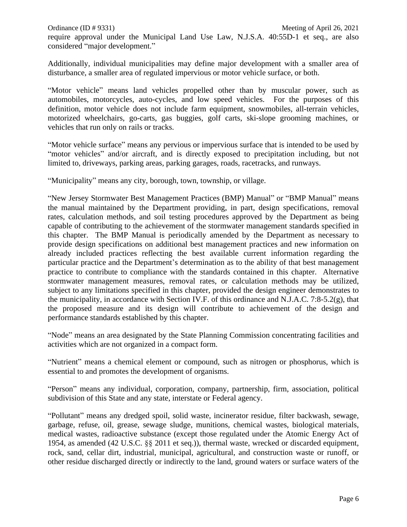Additionally, individual municipalities may define major development with a smaller area of disturbance, a smaller area of regulated impervious or motor vehicle surface, or both.

"Motor vehicle" means land vehicles propelled other than by muscular power, such as automobiles, motorcycles, auto-cycles, and low speed vehicles. For the purposes of this definition, motor vehicle does not include farm equipment, snowmobiles, all-terrain vehicles, motorized wheelchairs, go-carts, gas buggies, golf carts, ski-slope grooming machines, or vehicles that run only on rails or tracks.

"Motor vehicle surface" means any pervious or impervious surface that is intended to be used by "motor vehicles" and/or aircraft, and is directly exposed to precipitation including, but not limited to, driveways, parking areas, parking garages, roads, racetracks, and runways.

"Municipality" means any city, borough, town, township, or village.

"New Jersey Stormwater Best Management Practices (BMP) Manual" or "BMP Manual" means the manual maintained by the Department providing, in part, design specifications, removal rates, calculation methods, and soil testing procedures approved by the Department as being capable of contributing to the achievement of the stormwater management standards specified in this chapter. The BMP Manual is periodically amended by the Department as necessary to provide design specifications on additional best management practices and new information on already included practices reflecting the best available current information regarding the particular practice and the Department's determination as to the ability of that best management practice to contribute to compliance with the standards contained in this chapter. Alternative stormwater management measures, removal rates, or calculation methods may be utilized, subject to any limitations specified in this chapter, provided the design engineer demonstrates to the municipality, in accordance with Section IV.F. of this ordinance and N.J.A.C. 7:8-5.2(g), that the proposed measure and its design will contribute to achievement of the design and performance standards established by this chapter.

"Node" means an area designated by the State Planning Commission concentrating facilities and activities which are not organized in a compact form.

"Nutrient" means a chemical element or compound, such as nitrogen or phosphorus, which is essential to and promotes the development of organisms.

"Person" means any individual, corporation, company, partnership, firm, association, political subdivision of this State and any state, interstate or Federal agency.

"Pollutant" means any dredged spoil, solid waste, incinerator residue, filter backwash, sewage, garbage, refuse, oil, grease, sewage sludge, munitions, chemical wastes, biological materials, medical wastes, radioactive substance (except those regulated under the Atomic Energy Act of 1954, as amended (42 U.S.C. §§ 2011 et seq.)), thermal waste, wrecked or discarded equipment, rock, sand, cellar dirt, industrial, municipal, agricultural, and construction waste or runoff, or other residue discharged directly or indirectly to the land, ground waters or surface waters of the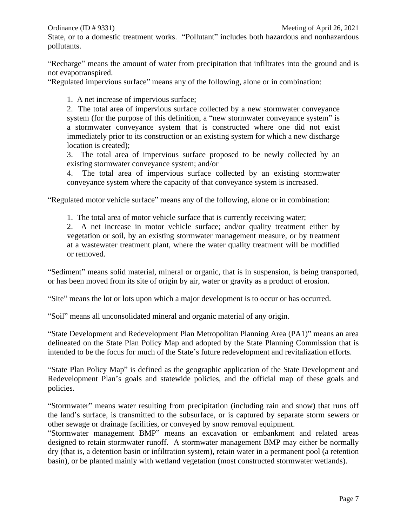State, or to a domestic treatment works. "Pollutant" includes both hazardous and nonhazardous pollutants.

"Recharge" means the amount of water from precipitation that infiltrates into the ground and is not evapotranspired.

"Regulated impervious surface" means any of the following, alone or in combination:

1. A net increase of impervious surface;

2. The total area of impervious surface collected by a new stormwater conveyance system (for the purpose of this definition, a "new stormwater conveyance system" is a stormwater conveyance system that is constructed where one did not exist immediately prior to its construction or an existing system for which a new discharge location is created);

3. The total area of impervious surface proposed to be newly collected by an existing stormwater conveyance system; and/or

4. The total area of impervious surface collected by an existing stormwater conveyance system where the capacity of that conveyance system is increased.

"Regulated motor vehicle surface" means any of the following, alone or in combination:

1. The total area of motor vehicle surface that is currently receiving water;

2. A net increase in motor vehicle surface; and/or quality treatment either by vegetation or soil, by an existing stormwater management measure, or by treatment at a wastewater treatment plant, where the water quality treatment will be modified or removed.

"Sediment" means solid material, mineral or organic, that is in suspension, is being transported, or has been moved from its site of origin by air, water or gravity as a product of erosion.

"Site" means the lot or lots upon which a major development is to occur or has occurred.

"Soil" means all unconsolidated mineral and organic material of any origin.

"State Development and Redevelopment Plan Metropolitan Planning Area (PA1)" means an area delineated on the State Plan Policy Map and adopted by the State Planning Commission that is intended to be the focus for much of the State's future redevelopment and revitalization efforts.

"State Plan Policy Map" is defined as the geographic application of the State Development and Redevelopment Plan's goals and statewide policies, and the official map of these goals and policies.

"Stormwater" means water resulting from precipitation (including rain and snow) that runs off the land's surface, is transmitted to the subsurface, or is captured by separate storm sewers or other sewage or drainage facilities, or conveyed by snow removal equipment.

"Stormwater management BMP" means an excavation or embankment and related areas designed to retain stormwater runoff. A stormwater management BMP may either be normally dry (that is, a detention basin or infiltration system), retain water in a permanent pool (a retention basin), or be planted mainly with wetland vegetation (most constructed stormwater wetlands).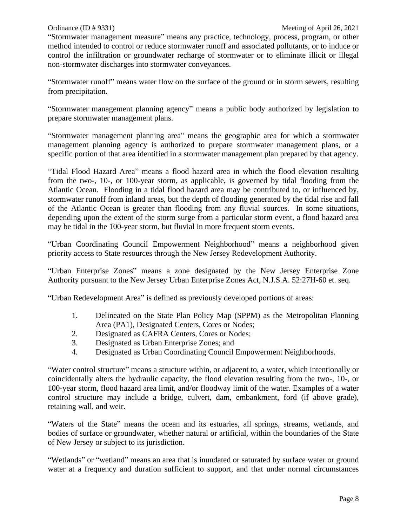"Stormwater management measure" means any practice, technology, process, program, or other method intended to control or reduce stormwater runoff and associated pollutants, or to induce or control the infiltration or groundwater recharge of stormwater or to eliminate illicit or illegal non-stormwater discharges into stormwater conveyances.

"Stormwater runoff" means water flow on the surface of the ground or in storm sewers, resulting from precipitation.

"Stormwater management planning agency" means a public body authorized by legislation to prepare stormwater management plans.

"Stormwater management planning area" means the geographic area for which a stormwater management planning agency is authorized to prepare stormwater management plans, or a specific portion of that area identified in a stormwater management plan prepared by that agency.

"Tidal Flood Hazard Area" means a flood hazard area in which the flood elevation resulting from the two-, 10-, or 100-year storm, as applicable, is governed by tidal flooding from the Atlantic Ocean. Flooding in a tidal flood hazard area may be contributed to, or influenced by, stormwater runoff from inland areas, but the depth of flooding generated by the tidal rise and fall of the Atlantic Ocean is greater than flooding from any fluvial sources. In some situations, depending upon the extent of the storm surge from a particular storm event, a flood hazard area may be tidal in the 100-year storm, but fluvial in more frequent storm events.

"Urban Coordinating Council Empowerment Neighborhood" means a neighborhood given priority access to State resources through the New Jersey Redevelopment Authority.

"Urban Enterprise Zones" means a zone designated by the New Jersey Enterprise Zone Authority pursuant to the New Jersey Urban Enterprise Zones Act, N.J.S.A. 52:27H-60 et. seq.

"Urban Redevelopment Area" is defined as previously developed portions of areas:

- 1. Delineated on the State Plan Policy Map (SPPM) as the Metropolitan Planning Area (PA1), Designated Centers, Cores or Nodes;
- 2. Designated as CAFRA Centers, Cores or Nodes;
- 3. Designated as Urban Enterprise Zones; and
- 4. Designated as Urban Coordinating Council Empowerment Neighborhoods.

"Water control structure" means a structure within, or adjacent to, a water, which intentionally or coincidentally alters the hydraulic capacity, the flood elevation resulting from the two-, 10-, or 100-year storm, flood hazard area limit, and/or floodway limit of the water. Examples of a water control structure may include a bridge, culvert, dam, embankment, ford (if above grade), retaining wall, and weir.

"Waters of the State" means the ocean and its estuaries, all springs, streams, wetlands, and bodies of surface or groundwater, whether natural or artificial, within the boundaries of the State of New Jersey or subject to its jurisdiction.

"Wetlands" or "wetland" means an area that is inundated or saturated by surface water or ground water at a frequency and duration sufficient to support, and that under normal circumstances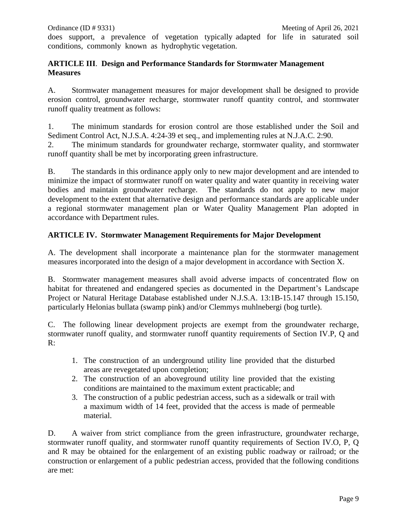does support, a prevalence of vegetation typically adapted for life in saturated soil conditions, commonly known as hydrophytic vegetation.

#### **ARTICLE III**. **Design and Performance Standards for Stormwater Management Measures**

A. Stormwater management measures for major development shall be designed to provide erosion control, groundwater recharge, stormwater runoff quantity control, and stormwater runoff quality treatment as follows:

1. The minimum standards for erosion control are those established under the Soil and Sediment Control Act, N.J.S.A. 4:24-39 et seq., and implementing rules at N.J.A.C. 2:90.

2. The minimum standards for groundwater recharge, stormwater quality, and stormwater runoff quantity shall be met by incorporating green infrastructure.

B. The standards in this ordinance apply only to new major development and are intended to minimize the impact of stormwater runoff on water quality and water quantity in receiving water bodies and maintain groundwater recharge. The standards do not apply to new major development to the extent that alternative design and performance standards are applicable under a regional stormwater management plan or Water Quality Management Plan adopted in accordance with Department rules.

# **ARTICLE IV. Stormwater Management Requirements for Major Development**

A. The development shall incorporate a maintenance plan for the stormwater management measures incorporated into the design of a major development in accordance with Section X.

B. Stormwater management measures shall avoid adverse impacts of concentrated flow on habitat for threatened and endangered species as documented in the Department's Landscape Project or Natural Heritage Database established under N.J.S.A. 13:1B-15.147 through 15.150, particularly Helonias bullata (swamp pink) and/or Clemmys muhlnebergi (bog turtle).

C. The following linear development projects are exempt from the groundwater recharge, stormwater runoff quality, and stormwater runoff quantity requirements of Section IV.P, Q and R:

- 1. The construction of an underground utility line provided that the disturbed areas are revegetated upon completion;
- 2. The construction of an aboveground utility line provided that the existing conditions are maintained to the maximum extent practicable; and
- 3. The construction of a public pedestrian access, such as a sidewalk or trail with a maximum width of 14 feet, provided that the access is made of permeable material.

D. A waiver from strict compliance from the green infrastructure, groundwater recharge, stormwater runoff quality, and stormwater runoff quantity requirements of Section IV.O, P, Q and R may be obtained for the enlargement of an existing public roadway or railroad; or the construction or enlargement of a public pedestrian access, provided that the following conditions are met: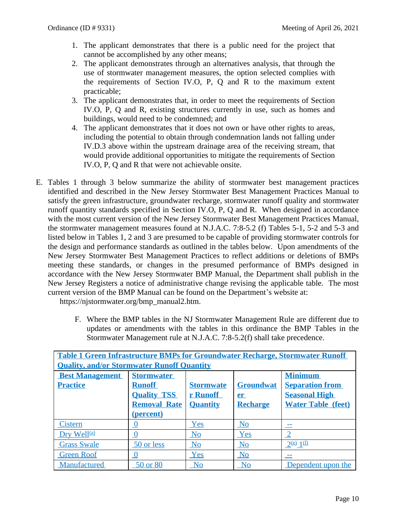- 1. The applicant demonstrates that there is a public need for the project that cannot be accomplished by any other means;
- 2. The applicant demonstrates through an alternatives analysis, that through the use of stormwater management measures, the option selected complies with the requirements of Section IV.O, P, Q and R to the maximum extent practicable;
- 3. The applicant demonstrates that, in order to meet the requirements of Section IV.O, P, Q and R, existing structures currently in use, such as homes and buildings, would need to be condemned; and
- 4. The applicant demonstrates that it does not own or have other rights to areas, including the potential to obtain through condemnation lands not falling under IV.D.3 above within the upstream drainage area of the receiving stream, that would provide additional opportunities to mitigate the requirements of Section IV.O, P, Q and R that were not achievable onsite.
- E. Tables 1 through 3 below summarize the ability of stormwater best management practices identified and described in the New Jersey Stormwater Best Management Practices Manual to satisfy the green infrastructure, groundwater recharge, stormwater runoff quality and stormwater runoff quantity standards specified in Section IV.O, P, Q and R. When designed in accordance with the most current version of the New Jersey Stormwater Best Management Practices Manual, the stormwater management measures found at N.J.A.C. 7:8-5.2 (f) Tables 5-1, 5-2 and 5-3 and listed below in Tables 1, 2 and 3 are presumed to be capable of providing stormwater controls for the design and performance standards as outlined in the tables below. Upon amendments of the New Jersey Stormwater Best Management Practices to reflect additions or deletions of BMPs meeting these standards, or changes in the presumed performance of BMPs designed in accordance with the New Jersey Stormwater BMP Manual, the Department shall publish in the New Jersey Registers a notice of administrative change revising the applicable table. The most current version of the BMP Manual can be found on the Department's website at:

https://njstormwater.org/bmp\_manual2.htm.

F. Where the BMP tables in the NJ Stormwater Management Rule are different due to updates or amendments with the tables in this ordinance the BMP Tables in the Stormwater Management rule at N.J.A.C. 7:8-5.2(f) shall take precedence.

| <b>Table 1 Green Infrastructure BMPs for Groundwater Recharge, Stormwater Runoff</b> |                     |                  |                        |                           |  |  |
|--------------------------------------------------------------------------------------|---------------------|------------------|------------------------|---------------------------|--|--|
| <b>Quality, and/or Stormwater Runoff Quantity</b>                                    |                     |                  |                        |                           |  |  |
| <b>Best Management</b>                                                               | <b>Stormwater</b>   |                  |                        | <b>Minimum</b>            |  |  |
| <b>Practice</b>                                                                      | <b>Runoff</b>       | <b>Stormwate</b> | <b>Groundwat</b>       | <b>Separation from</b>    |  |  |
|                                                                                      | <b>Quality TSS</b>  | r Runoff         | er                     | <b>Seasonal High</b>      |  |  |
|                                                                                      | <b>Removal Rate</b> | <b>Quantity</b>  | <b>Recharge</b>        | <b>Water Table (feet)</b> |  |  |
|                                                                                      | (percent)           |                  |                        |                           |  |  |
| <b>Cistern</b>                                                                       | <u>V</u>            | Yes              | N <sub>o</sub>         |                           |  |  |
| Dry Well <sup>(a)</sup>                                                              | $\bf{0}$            | No               | Yes                    |                           |  |  |
| <b>Grass Swale</b>                                                                   | 50 or less          | No               | No                     | $2^{(e)} 1^{(f)}$         |  |  |
| <b>Green Roof</b>                                                                    |                     | Yes              | No                     |                           |  |  |
| Manufactured                                                                         | 50 or 80            | No               | $\overline{\text{No}}$ | Dependent upon the        |  |  |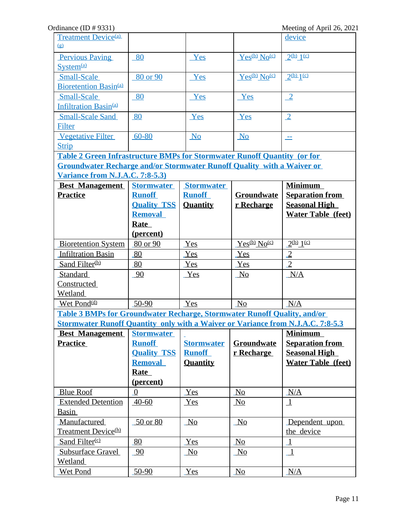| <b>Treatment Device</b> <sup>(a)</sup>                                                 |                    |                   |                      | device                    |  |
|----------------------------------------------------------------------------------------|--------------------|-------------------|----------------------|---------------------------|--|
| (g)                                                                                    |                    |                   |                      |                           |  |
| <b>Pervious Paving</b>                                                                 | 80                 | Yes               | $Yes^{(b)}No^{(c)}$  | 2(b) 1(c)                 |  |
| System <sup>(a)</sup>                                                                  |                    |                   |                      |                           |  |
| <b>Small-Scale</b>                                                                     | 80 or 90           | Yes               | $Yes^{(b)}No^{(c)}$  | $2^{(b)}1^{(c)}$          |  |
| Bioretention Basin <sup>(a)</sup>                                                      |                    |                   |                      |                           |  |
| <b>Small-Scale</b>                                                                     | 80                 | Yes               | Yes                  | $\sqrt{2}$                |  |
| <b>Infiltration Basin<sup>(a)</sup></b>                                                |                    |                   |                      |                           |  |
| <b>Small-Scale Sand</b>                                                                | 80                 | Yes               | Yes                  | $\sqrt{2}$                |  |
| Filter                                                                                 |                    |                   |                      |                           |  |
| <b>Vegetative Filter</b>                                                               | $60 - 80$          | No                | N <sub>0</sub>       | ÷.                        |  |
| <b>Strip</b>                                                                           |                    |                   |                      |                           |  |
| <b>Table 2 Green Infrastructure BMPs for Stormwater Runoff Quantity (or for</b>        |                    |                   |                      |                           |  |
| <b>Groundwater Recharge and/or Stormwater Runoff Quality with a Waiver or</b>          |                    |                   |                      |                           |  |
| Variance from N.J.A.C. 7:8-5.3)                                                        |                    |                   |                      |                           |  |
| <b>Best Management</b>                                                                 | <b>Stormwater</b>  | <b>Stormwater</b> |                      | <b>Minimum</b>            |  |
| <b>Practice</b>                                                                        | <b>Runoff</b>      | <b>Runoff</b>     | <b>Groundwate</b>    | <b>Separation from</b>    |  |
|                                                                                        | <b>Quality TSS</b> | <b>Quantity</b>   | r Recharge           | <b>Seasonal High</b>      |  |
|                                                                                        | <b>Removal</b>     |                   |                      | <b>Water Table (feet)</b> |  |
|                                                                                        | Rate               |                   |                      |                           |  |
|                                                                                        | (percent)          |                   |                      |                           |  |
| <b>Bioretention System</b>                                                             | 80 or 90           | Yes               | $Yes^{(b)} No^{(c)}$ | $2^{(b)} 1^{(c)}$         |  |
| <b>Infiltration Basin</b>                                                              | 80                 | Yes               | Yes                  | $\overline{2}$            |  |
| Sand Filter <sup>(b)</sup>                                                             | 80                 | Yes               | Yes                  | $\overline{2}$            |  |
| Standard                                                                               | 90                 | Yes               | N <sub>0</sub>       | N/A                       |  |
| Constructed                                                                            |                    |                   |                      |                           |  |
| Wetland                                                                                |                    |                   |                      |                           |  |
| Wet Pond <sup>(d)</sup>                                                                | $50-90$            | Yes               | No                   | N/A                       |  |
| Table 3 BMPs for Groundwater Recharge, Stormwater Runoff Quality, and/or               |                    |                   |                      |                           |  |
| <b>Stormwater Runoff Quantity only with a Waiver or Variance from N.J.A.C. 7:8-5.3</b> |                    |                   |                      |                           |  |
| <b>Best Management</b>                                                                 | <b>Stormwater</b>  |                   |                      | <b>Minimum</b>            |  |
| <b>Practice</b>                                                                        | <b>Runoff</b>      | <b>Stormwater</b> | Groundwate           | <b>Separation from</b>    |  |
|                                                                                        | <b>Quality TSS</b> | <b>Runoff</b>     | r Recharge           | <b>Seasonal High</b>      |  |
|                                                                                        | <b>Removal</b>     | <b>Quantity</b>   |                      | <b>Water Table (feet)</b> |  |
|                                                                                        | Rate               |                   |                      |                           |  |
|                                                                                        | (percent)          |                   |                      |                           |  |
| <b>Blue Roof</b>                                                                       | $\overline{0}$     | Yes               | N <sub>0</sub>       | N/A                       |  |
| <b>Extended Detention</b>                                                              | $40 - 60$          | Yes               | N <sub>0</sub>       | $\perp$                   |  |
| <b>Basin</b>                                                                           |                    |                   |                      |                           |  |
| Manufactured                                                                           | 50 or 80           | No                | No                   | Dependent upon            |  |
| <b>Treatment Device</b> <sup>(h)</sup>                                                 |                    |                   |                      | the device                |  |
| Sand Filter <sup>(c)</sup>                                                             | 80                 | Yes               | No                   | $\perp$                   |  |
| <b>Subsurface Gravel</b>                                                               | 90                 | No                | No                   | $\mathbf{1}$              |  |
| Wetland                                                                                |                    |                   |                      |                           |  |
| <b>Wet Pond</b>                                                                        | $50-90$            | Yes               | No                   | N/A                       |  |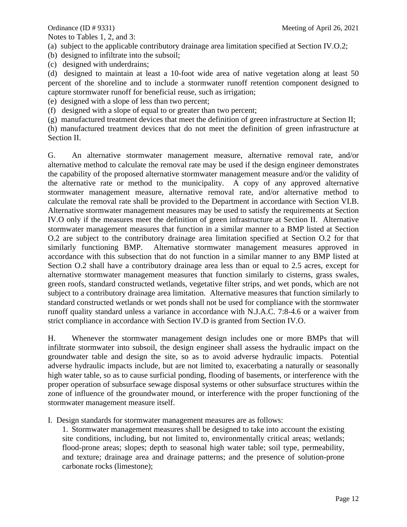Notes to Tables 1, 2, and 3:

(a) subject to the applicable contributory drainage area limitation specified at Section IV.O.2;

(b) designed to infiltrate into the subsoil;

(c) designed with underdrains;

(d) designed to maintain at least a 10-foot wide area of native vegetation along at least 50 percent of the shoreline and to include a stormwater runoff retention component designed to capture stormwater runoff for beneficial reuse, such as irrigation;

(e) designed with a slope of less than two percent;

(f) designed with a slope of equal to or greater than two percent;

(g) manufactured treatment devices that meet the definition of green infrastructure at Section II;

(h) manufactured treatment devices that do not meet the definition of green infrastructure at Section II.

G. An alternative stormwater management measure, alternative removal rate, and/or alternative method to calculate the removal rate may be used if the design engineer demonstrates the capability of the proposed alternative stormwater management measure and/or the validity of the alternative rate or method to the municipality. A copy of any approved alternative stormwater management measure, alternative removal rate, and/or alternative method to calculate the removal rate shall be provided to the Department in accordance with Section VI.B. Alternative stormwater management measures may be used to satisfy the requirements at Section IV.O only if the measures meet the definition of green infrastructure at Section II. Alternative stormwater management measures that function in a similar manner to a BMP listed at Section O.2 are subject to the contributory drainage area limitation specified at Section O.2 for that similarly functioning BMP. Alternative stormwater management measures approved in accordance with this subsection that do not function in a similar manner to any BMP listed at Section O.2 shall have a contributory drainage area less than or equal to 2.5 acres, except for alternative stormwater management measures that function similarly to cisterns, grass swales, green roofs, standard constructed wetlands, vegetative filter strips, and wet ponds, which are not subject to a contributory drainage area limitation. Alternative measures that function similarly to standard constructed wetlands or wet ponds shall not be used for compliance with the stormwater runoff quality standard unless a variance in accordance with N.J.A.C. 7:8-4.6 or a waiver from strict compliance in accordance with Section IV.D is granted from Section IV.O.

H. Whenever the stormwater management design includes one or more BMPs that will infiltrate stormwater into subsoil, the design engineer shall assess the hydraulic impact on the groundwater table and design the site, so as to avoid adverse hydraulic impacts. Potential adverse hydraulic impacts include, but are not limited to, exacerbating a naturally or seasonally high water table, so as to cause surficial ponding, flooding of basements, or interference with the proper operation of subsurface sewage disposal systems or other subsurface structures within the zone of influence of the groundwater mound, or interference with the proper functioning of the stormwater management measure itself.

I. Design standards for stormwater management measures are as follows:

1. Stormwater management measures shall be designed to take into account the existing site conditions, including, but not limited to, environmentally critical areas; wetlands; flood-prone areas; slopes; depth to seasonal high water table; soil type, permeability, and texture; drainage area and drainage patterns; and the presence of solution-prone carbonate rocks (limestone);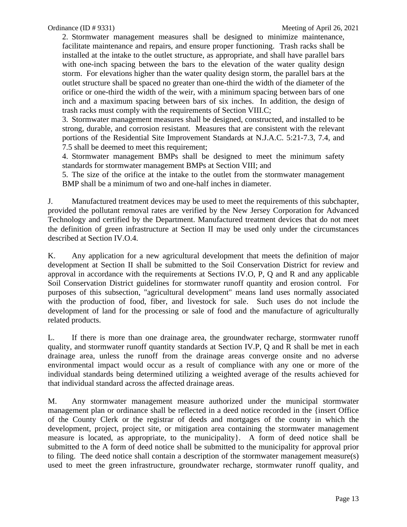2. Stormwater management measures shall be designed to minimize maintenance, facilitate maintenance and repairs, and ensure proper functioning. Trash racks shall be installed at the intake to the outlet structure, as appropriate, and shall have parallel bars with one-inch spacing between the bars to the elevation of the water quality design storm. For elevations higher than the water quality design storm, the parallel bars at the outlet structure shall be spaced no greater than one-third the width of the diameter of the orifice or one-third the width of the weir, with a minimum spacing between bars of one inch and a maximum spacing between bars of six inches. In addition, the design of trash racks must comply with the requirements of Section VIII.C;

3. Stormwater management measures shall be designed, constructed, and installed to be strong, durable, and corrosion resistant. Measures that are consistent with the relevant portions of the Residential Site Improvement Standards at N.J.A.C. 5:21-7.3, 7.4, and 7.5 shall be deemed to meet this requirement;

4. Stormwater management BMPs shall be designed to meet the minimum safety standards for stormwater management BMPs at Section VIII; and

5. The size of the orifice at the intake to the outlet from the stormwater management BMP shall be a minimum of two and one-half inches in diameter.

J. Manufactured treatment devices may be used to meet the requirements of this subchapter, provided the pollutant removal rates are verified by the New Jersey Corporation for Advanced Technology and certified by the Department. Manufactured treatment devices that do not meet the definition of green infrastructure at Section II may be used only under the circumstances described at Section IV.O.4.

K. Any application for a new agricultural development that meets the definition of major development at Section II shall be submitted to the Soil Conservation District for review and approval in accordance with the requirements at Sections IV.O, P, Q and R and any applicable Soil Conservation District guidelines for stormwater runoff quantity and erosion control. For purposes of this subsection, "agricultural development" means land uses normally associated with the production of food, fiber, and livestock for sale. Such uses do not include the development of land for the processing or sale of food and the manufacture of agriculturally related products.

L. If there is more than one drainage area, the groundwater recharge, stormwater runoff quality, and stormwater runoff quantity standards at Section IV.P, Q and R shall be met in each drainage area, unless the runoff from the drainage areas converge onsite and no adverse environmental impact would occur as a result of compliance with any one or more of the individual standards being determined utilizing a weighted average of the results achieved for that individual standard across the affected drainage areas.

M. Any stormwater management measure authorized under the municipal stormwater management plan or ordinance shall be reflected in a deed notice recorded in the {insert Office of the County Clerk or the registrar of deeds and mortgages of the county in which the development, project, project site, or mitigation area containing the stormwater management measure is located, as appropriate, to the municipality}. A form of deed notice shall be submitted to the A form of deed notice shall be submitted to the municipality for approval prior to filing. The deed notice shall contain a description of the stormwater management measure(s) used to meet the green infrastructure, groundwater recharge, stormwater runoff quality, and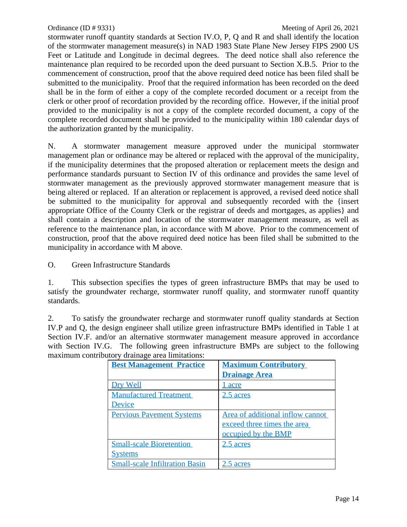stormwater runoff quantity standards at Section IV.O, P, Q and R and shall identify the location of the stormwater management measure(s) in NAD 1983 State Plane New Jersey FIPS 2900 US Feet or Latitude and Longitude in decimal degrees. The deed notice shall also reference the maintenance plan required to be recorded upon the deed pursuant to Section X.B.5. Prior to the commencement of construction, proof that the above required deed notice has been filed shall be submitted to the municipality. Proof that the required information has been recorded on the deed shall be in the form of either a copy of the complete recorded document or a receipt from the clerk or other proof of recordation provided by the recording office. However, if the initial proof provided to the municipality is not a copy of the complete recorded document, a copy of the complete recorded document shall be provided to the municipality within 180 calendar days of the authorization granted by the municipality.

N. A stormwater management measure approved under the municipal stormwater management plan or ordinance may be altered or replaced with the approval of the municipality, if the municipality determines that the proposed alteration or replacement meets the design and performance standards pursuant to Section IV of this ordinance and provides the same level of stormwater management as the previously approved stormwater management measure that is being altered or replaced. If an alteration or replacement is approved, a revised deed notice shall be submitted to the municipality for approval and subsequently recorded with the {insert appropriate Office of the County Clerk or the registrar of deeds and mortgages, as applies} and shall contain a description and location of the stormwater management measure, as well as reference to the maintenance plan, in accordance with M above. Prior to the commencement of construction, proof that the above required deed notice has been filed shall be submitted to the municipality in accordance with M above.

O. Green Infrastructure Standards

1. This subsection specifies the types of green infrastructure BMPs that may be used to satisfy the groundwater recharge, stormwater runoff quality, and stormwater runoff quantity standards.

2. To satisfy the groundwater recharge and stormwater runoff quality standards at Section IV.P and Q, the design engineer shall utilize green infrastructure BMPs identified in Table 1 at Section IV.F. and/or an alternative stormwater management measure approved in accordance with Section IV.G. The following green infrastructure BMPs are subject to the following maximum contributory drainage area limitations:

| <b>Best Management Practice</b>       | <b>Maximum Contributory</b>      |
|---------------------------------------|----------------------------------|
|                                       | <b>Drainage Area</b>             |
| Dry Well                              | acre                             |
| <b>Manufactured Treatment</b>         | 2.5 acres                        |
| Device                                |                                  |
| <b>Pervious Pavement Systems</b>      | Area of additional inflow cannot |
|                                       | exceed three times the area      |
|                                       | occupied by the BMP              |
| <b>Small-scale Bioretention</b>       | 2.5 acres                        |
| <u>Systems</u>                        |                                  |
| <b>Small-scale Infiltration Basin</b> | acres                            |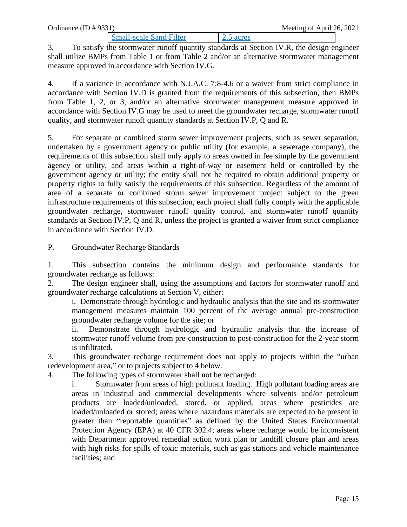Small-scale Sand Filter 2.5 acres 3. To satisfy the stormwater runoff quantity standards at Section IV.R, the design engineer shall utilize BMPs from Table 1 or from Table 2 and/or an alternative stormwater management measure approved in accordance with Section IV.G.

4. If a variance in accordance with N.J.A.C. 7:8-4.6 or a waiver from strict compliance in accordance with Section IV.D is granted from the requirements of this subsection, then BMPs from Table 1, 2, or 3, and/or an alternative stormwater management measure approved in accordance with Section IV.G may be used to meet the groundwater recharge, stormwater runoff quality, and stormwater runoff quantity standards at Section IV.P, Q and R.

5. For separate or combined storm sewer improvement projects, such as sewer separation, undertaken by a government agency or public utility (for example, a sewerage company), the requirements of this subsection shall only apply to areas owned in fee simple by the government agency or utility, and areas within a right-of-way or easement held or controlled by the government agency or utility; the entity shall not be required to obtain additional property or property rights to fully satisfy the requirements of this subsection. Regardless of the amount of area of a separate or combined storm sewer improvement project subject to the green infrastructure requirements of this subsection, each project shall fully comply with the applicable groundwater recharge, stormwater runoff quality control, and stormwater runoff quantity standards at Section IV.P, Q and R, unless the project is granted a waiver from strict compliance in accordance with Section IV.D.

P. Groundwater Recharge Standards

1. This subsection contains the minimum design and performance standards for groundwater recharge as follows:

2. The design engineer shall, using the assumptions and factors for stormwater runoff and groundwater recharge calculations at Section V, either:

i. Demonstrate through hydrologic and hydraulic analysis that the site and its stormwater management measures maintain 100 percent of the average annual pre-construction groundwater recharge volume for the site; or

ii. Demonstrate through hydrologic and hydraulic analysis that the increase of stormwater runoff volume from pre-construction to post-construction for the 2-year storm is infiltrated.

3. This groundwater recharge requirement does not apply to projects within the "urban redevelopment area," or to projects subject to 4 below.

4. The following types of stormwater shall not be recharged:

i. Stormwater from areas of high pollutant loading. High pollutant loading areas are areas in industrial and commercial developments where solvents and/or petroleum products are loaded/unloaded, stored, or applied, areas where pesticides are loaded/unloaded or stored; areas where hazardous materials are expected to be present in greater than "reportable quantities" as defined by the United States Environmental Protection Agency (EPA) at 40 CFR 302.4; areas where recharge would be inconsistent with Department approved remedial action work plan or landfill closure plan and areas with high risks for spills of toxic materials, such as gas stations and vehicle maintenance facilities; and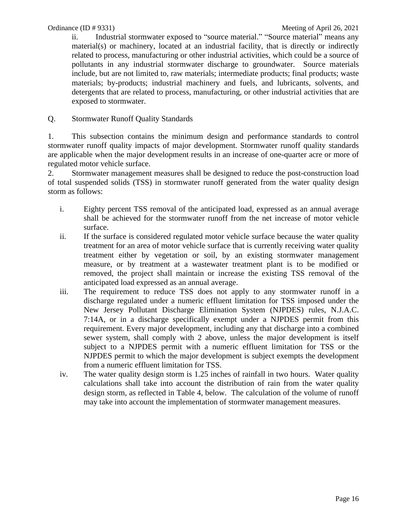ii. Industrial stormwater exposed to "source material." "Source material" means any material(s) or machinery, located at an industrial facility, that is directly or indirectly related to process, manufacturing or other industrial activities, which could be a source of pollutants in any industrial stormwater discharge to groundwater. Source materials include, but are not limited to, raw materials; intermediate products; final products; waste materials; by-products; industrial machinery and fuels, and lubricants, solvents, and detergents that are related to process, manufacturing, or other industrial activities that are exposed to stormwater.

Q. Stormwater Runoff Quality Standards

1. This subsection contains the minimum design and performance standards to control stormwater runoff quality impacts of major development. Stormwater runoff quality standards are applicable when the major development results in an increase of one-quarter acre or more of regulated motor vehicle surface.

2. Stormwater management measures shall be designed to reduce the post-construction load of total suspended solids (TSS) in stormwater runoff generated from the water quality design storm as follows:

- i. Eighty percent TSS removal of the anticipated load, expressed as an annual average shall be achieved for the stormwater runoff from the net increase of motor vehicle surface.
- ii. If the surface is considered regulated motor vehicle surface because the water quality treatment for an area of motor vehicle surface that is currently receiving water quality treatment either by vegetation or soil, by an existing stormwater management measure, or by treatment at a wastewater treatment plant is to be modified or removed, the project shall maintain or increase the existing TSS removal of the anticipated load expressed as an annual average.
- iii. The requirement to reduce TSS does not apply to any stormwater runoff in a discharge regulated under a numeric effluent limitation for TSS imposed under the New Jersey Pollutant Discharge Elimination System (NJPDES) rules, N.J.A.C. 7:14A, or in a discharge specifically exempt under a NJPDES permit from this requirement. Every major development, including any that discharge into a combined sewer system, shall comply with 2 above, unless the major development is itself subject to a NJPDES permit with a numeric effluent limitation for TSS or the NJPDES permit to which the major development is subject exempts the development from a numeric effluent limitation for TSS.
- iv. The water quality design storm is 1.25 inches of rainfall in two hours. Water quality calculations shall take into account the distribution of rain from the water quality design storm, as reflected in Table 4, below. The calculation of the volume of runoff may take into account the implementation of stormwater management measures.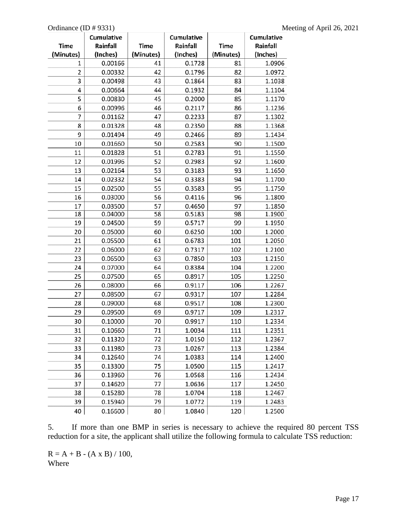|                | Cumulative |           | Cumulative |           | Cumulative |
|----------------|------------|-----------|------------|-----------|------------|
| Time           | Rainfall   | Time      | Rainfall   | Time      | Rainfall   |
| (Minutes)      | (Inches)   | (Minutes) | (Inches)   | (Minutes) | (Inches)   |
| 1              | 0.00166    | 41        | 0.1728     | 81        | 1.0906     |
| $\overline{2}$ | 0.00332    | 42        | 0.1796     | 82        | 1.0972     |
| 3              | 0.00498    | 43        | 0.1864     | 83        | 1.1038     |
| 4              | 0.00664    | 44        | 0.1932     | 84        | 1.1104     |
| 5              | 0.00830    | 45        | 0.2000     | 85        | 1.1170     |
| 6              | 0.00996    | 46        | 0.2117     | 86        | 1.1236     |
| 7              | 0.01162    | 47        | 0.2233     | 87        | 1.1302     |
| 8              | 0.01328    | 48        | 0.2350     | 88        | 1.1368     |
| 9              | 0.01494    | 49        | 0.2466     | 89        | 1.1434     |
| 10             | 0.01660    | 50        | 0.2583     | 90        | 1.1500     |
| 11             | 0.01828    | 51        | 0.2783     | 91        | 1.1550     |
| 12             | 0.01996    | 52        | 0.2983     | 92        | 1.1600     |
| 13             | 0.02164    | 53        | 0.3183     | 93        | 1.1650     |
| 14             | 0.02332    | 54        | 0.3383     | 94        | 1.1700     |
| 15             | 0.02500    | 55        | 0.3583     | 95        | 1.1750     |
| 16             | 0.03000    | 56        | 0.4116     | 96        | 1.1800     |
| 17             | 0.03500    | 57        | 0.4650     | 97        | 1.1850     |
| 18             | 0.04000    | 58        | 0.5183     | 98        | 1.1900     |
| 19             | 0.04500    | 59        | 0.5717     | 99        | 1.1950     |
| 20             | 0.05000    | 60        | 0.6250     | 100       | 1.2000     |
| 21             | 0.05500    | 61        | 0.6783     | 101       | 1.2050     |
| 22             | 0.06000    | 62        | 0.7317     | 102       | 1.2100     |
| 23             | 0.06500    | 63        | 0.7850     | 103       | 1.2150     |
| 24             | 0.07000    | 64        | 0.8384     | 104       | 1.2200     |
| 25             | 0.07500    | 65        | 0.8917     | 105       | 1.2250     |
| 26             | 0.08000    | 66        | 0.9117     | 106       | 1.2267     |
| 27             | 0.08500    | 67        | 0.9317     | 107       | 1.2284     |
| 28             | 0.09000    | 68        | 0.9517     | 108       | 1.2300     |
| 29             | 0.09500    | 69        | 0.9717     | 109       | 1.2317     |
| 30             | 0.10000    | 70        | 0.9917     | 110       | 1.2334     |
| 31             | 0.10660    | 71        | 1.0034     | 111       | 1.2351     |
| 32             | 0.11320    | 72        | 1.0150     | 112       | 1.2367     |
| 33             | 0.11980    | 73        | 1.0267     | 113       | 1.2384     |
| 34             | 0.12640    | 74        | 1.0383     | 114       | 1.2400     |
| 35             | 0.13300    | 75        | 1.0500     | 115       | 1.2417     |
| 36             | 0.13960    | 76        | 1.0568     | 116       | 1.2434     |
| 37             | 0.14620    | 77        | 1.0636     | 117       | 1.2450     |
| 38             | 0.15280    | 78        | 1.0704     | 118       | 1.2467     |
| 39             | 0.15940    | 79        | 1.0772     | 119       | 1.2483     |
| 40             | 0.16600    | 80        | 1.0840     | 120       | 1.2500     |

5. If more than one BMP in series is necessary to achieve the required 80 percent TSS reduction for a site, the applicant shall utilize the following formula to calculate TSS reduction:

 $R = A + B - (A \times B) / 100,$ Where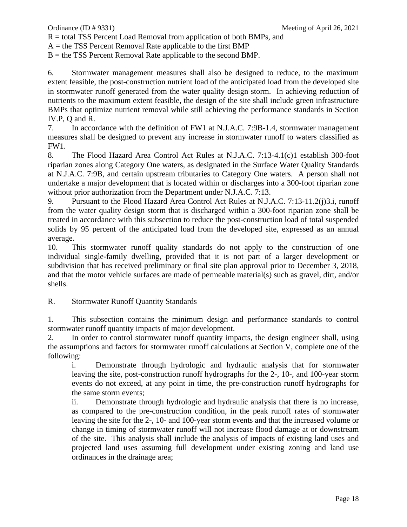R = total TSS Percent Load Removal from application of both BMPs, and

 $A =$  the TSS Percent Removal Rate applicable to the first BMP

 $B =$  the TSS Percent Removal Rate applicable to the second BMP.

6. Stormwater management measures shall also be designed to reduce, to the maximum extent feasible, the post-construction nutrient load of the anticipated load from the developed site in stormwater runoff generated from the water quality design storm. In achieving reduction of nutrients to the maximum extent feasible, the design of the site shall include green infrastructure BMPs that optimize nutrient removal while still achieving the performance standards in Section IV.P, Q and R.

7. In accordance with the definition of FW1 at N.J.A.C. 7:9B-1.4, stormwater management measures shall be designed to prevent any increase in stormwater runoff to waters classified as FW1.

8. The Flood Hazard Area Control Act Rules at N.J.A.C. 7:13-4.1(c)1 establish 300-foot riparian zones along Category One waters, as designated in the Surface Water Quality Standards at N.J.A.C. 7:9B, and certain upstream tributaries to Category One waters. A person shall not undertake a major development that is located within or discharges into a 300-foot riparian zone without prior authorization from the Department under N.J.A.C. 7:13.

9. Pursuant to the Flood Hazard Area Control Act Rules at N.J.A.C. 7:13-11.2(j)3.i, runoff from the water quality design storm that is discharged within a 300-foot riparian zone shall be treated in accordance with this subsection to reduce the post-construction load of total suspended solids by 95 percent of the anticipated load from the developed site, expressed as an annual average.

10. This stormwater runoff quality standards do not apply to the construction of one individual single-family dwelling, provided that it is not part of a larger development or subdivision that has received preliminary or final site plan approval prior to December 3, 2018, and that the motor vehicle surfaces are made of permeable material(s) such as gravel, dirt, and/or shells.

# R. Stormwater Runoff Quantity Standards

1. This subsection contains the minimum design and performance standards to control stormwater runoff quantity impacts of major development.

2. In order to control stormwater runoff quantity impacts, the design engineer shall, using the assumptions and factors for stormwater runoff calculations at Section V, complete one of the following:

i. Demonstrate through hydrologic and hydraulic analysis that for stormwater leaving the site, post-construction runoff hydrographs for the 2-, 10-, and 100-year storm events do not exceed, at any point in time, the pre-construction runoff hydrographs for the same storm events;

ii. Demonstrate through hydrologic and hydraulic analysis that there is no increase, as compared to the pre-construction condition, in the peak runoff rates of stormwater leaving the site for the 2-, 10- and 100-year storm events and that the increased volume or change in timing of stormwater runoff will not increase flood damage at or downstream of the site. This analysis shall include the analysis of impacts of existing land uses and projected land uses assuming full development under existing zoning and land use ordinances in the drainage area;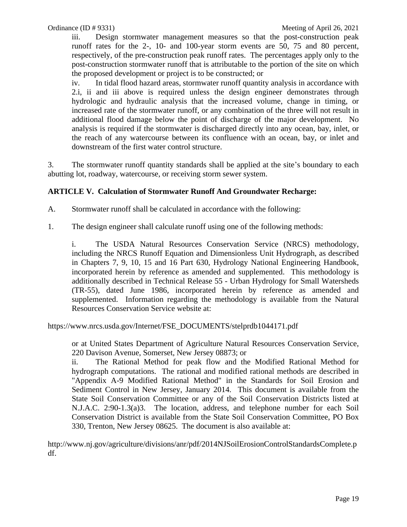iii. Design stormwater management measures so that the post-construction peak runoff rates for the 2-, 10- and 100-year storm events are 50, 75 and 80 percent, respectively, of the pre-construction peak runoff rates. The percentages apply only to the post-construction stormwater runoff that is attributable to the portion of the site on which the proposed development or project is to be constructed; or

iv. In tidal flood hazard areas, stormwater runoff quantity analysis in accordance with 2.i, ii and iii above is required unless the design engineer demonstrates through hydrologic and hydraulic analysis that the increased volume, change in timing, or increased rate of the stormwater runoff, or any combination of the three will not result in additional flood damage below the point of discharge of the major development. No analysis is required if the stormwater is discharged directly into any ocean, bay, inlet, or the reach of any watercourse between its confluence with an ocean, bay, or inlet and downstream of the first water control structure.

3. The stormwater runoff quantity standards shall be applied at the site's boundary to each abutting lot, roadway, watercourse, or receiving storm sewer system.

# **ARTICLE V. Calculation of Stormwater Runoff And Groundwater Recharge:**

A. Stormwater runoff shall be calculated in accordance with the following:

1. The design engineer shall calculate runoff using one of the following methods:

i. The USDA Natural Resources Conservation Service (NRCS) methodology, including the NRCS Runoff Equation and Dimensionless Unit Hydrograph, as described in Chapters 7, 9, 10, 15 and 16 Part 630, Hydrology National Engineering Handbook, incorporated herein by reference as amended and supplemented. This methodology is additionally described in Technical Release 55 - Urban Hydrology for Small Watersheds (TR-55), dated June 1986, incorporated herein by reference as amended and supplemented. Information regarding the methodology is available from the Natural Resources Conservation Service website at:

https://www.nrcs.usda.gov/Internet/FSE\_DOCUMENTS/stelprdb1044171.pdf

or at United States Department of Agriculture Natural Resources Conservation Service, 220 Davison Avenue, Somerset, New Jersey 08873; or

ii. The Rational Method for peak flow and the Modified Rational Method for hydrograph computations. The rational and modified rational methods are described in "Appendix A-9 Modified Rational Method" in the Standards for Soil Erosion and Sediment Control in New Jersey, January 2014. This document is available from the State Soil Conservation Committee or any of the Soil Conservation Districts listed at N.J.A.C. 2:90-1.3(a)3. The location, address, and telephone number for each Soil Conservation District is available from the State Soil Conservation Committee, PO Box 330, Trenton, New Jersey 08625. The document is also available at:

http://www.nj.gov/agriculture/divisions/anr/pdf/2014NJSoilErosionControlStandardsComplete.p df.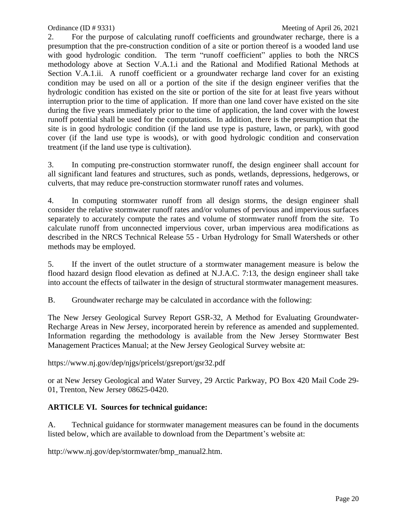2. For the purpose of calculating runoff coefficients and groundwater recharge, there is a presumption that the pre-construction condition of a site or portion thereof is a wooded land use with good hydrologic condition. The term "runoff coefficient" applies to both the NRCS methodology above at Section V.A.1.i and the Rational and Modified Rational Methods at Section V.A.1.ii. A runoff coefficient or a groundwater recharge land cover for an existing condition may be used on all or a portion of the site if the design engineer verifies that the hydrologic condition has existed on the site or portion of the site for at least five years without interruption prior to the time of application. If more than one land cover have existed on the site during the five years immediately prior to the time of application, the land cover with the lowest runoff potential shall be used for the computations. In addition, there is the presumption that the site is in good hydrologic condition (if the land use type is pasture, lawn, or park), with good cover (if the land use type is woods), or with good hydrologic condition and conservation treatment (if the land use type is cultivation).

3. In computing pre-construction stormwater runoff, the design engineer shall account for all significant land features and structures, such as ponds, wetlands, depressions, hedgerows, or culverts, that may reduce pre-construction stormwater runoff rates and volumes.

4. In computing stormwater runoff from all design storms, the design engineer shall consider the relative stormwater runoff rates and/or volumes of pervious and impervious surfaces separately to accurately compute the rates and volume of stormwater runoff from the site. To calculate runoff from unconnected impervious cover, urban impervious area modifications as described in the NRCS Technical Release 55 - Urban Hydrology for Small Watersheds or other methods may be employed.

5. If the invert of the outlet structure of a stormwater management measure is below the flood hazard design flood elevation as defined at N.J.A.C. 7:13, the design engineer shall take into account the effects of tailwater in the design of structural stormwater management measures.

B. Groundwater recharge may be calculated in accordance with the following:

The New Jersey Geological Survey Report GSR-32, A Method for Evaluating Groundwater-Recharge Areas in New Jersey, incorporated herein by reference as amended and supplemented. Information regarding the methodology is available from the New Jersey Stormwater Best Management Practices Manual; at the New Jersey Geological Survey website at:

https://www.nj.gov/dep/njgs/pricelst/gsreport/gsr32.pdf

or at New Jersey Geological and Water Survey, 29 Arctic Parkway, PO Box 420 Mail Code 29- 01, Trenton, New Jersey 08625-0420.

# **ARTICLE VI. Sources for technical guidance:**

A. Technical guidance for stormwater management measures can be found in the documents listed below, which are available to download from the Department's website at:

http://www.nj.gov/dep/stormwater/bmp\_manual2.htm.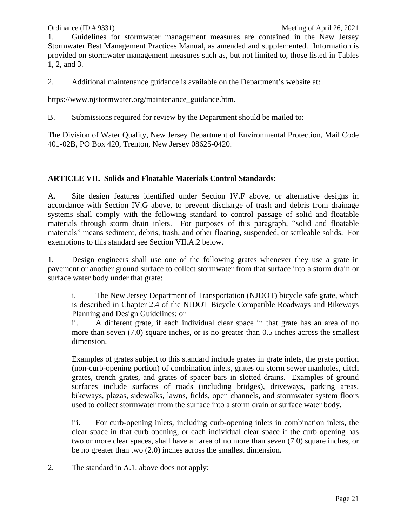1. Guidelines for stormwater management measures are contained in the New Jersey Stormwater Best Management Practices Manual, as amended and supplemented. Information is provided on stormwater management measures such as, but not limited to, those listed in Tables 1, 2, and 3.

2. Additional maintenance guidance is available on the Department's website at:

https://www.njstormwater.org/maintenance\_guidance.htm.

B. Submissions required for review by the Department should be mailed to:

The Division of Water Quality, New Jersey Department of Environmental Protection, Mail Code 401-02B, PO Box 420, Trenton, New Jersey 08625-0420.

# **ARTICLE VII. Solids and Floatable Materials Control Standards:**

A. Site design features identified under Section IV.F above, or alternative designs in accordance with Section IV.G above, to prevent discharge of trash and debris from drainage systems shall comply with the following standard to control passage of solid and floatable materials through storm drain inlets. For purposes of this paragraph, "solid and floatable materials" means sediment, debris, trash, and other floating, suspended, or settleable solids. For exemptions to this standard see Section VII.A.2 below.

1. Design engineers shall use one of the following grates whenever they use a grate in pavement or another ground surface to collect stormwater from that surface into a storm drain or surface water body under that grate:

i. The New Jersey Department of Transportation (NJDOT) bicycle safe grate, which is described in Chapter 2.4 of the NJDOT Bicycle Compatible Roadways and Bikeways Planning and Design Guidelines; or

ii. A different grate, if each individual clear space in that grate has an area of no more than seven (7.0) square inches, or is no greater than 0.5 inches across the smallest dimension.

Examples of grates subject to this standard include grates in grate inlets, the grate portion (non-curb-opening portion) of combination inlets, grates on storm sewer manholes, ditch grates, trench grates, and grates of spacer bars in slotted drains. Examples of ground surfaces include surfaces of roads (including bridges), driveways, parking areas, bikeways, plazas, sidewalks, lawns, fields, open channels, and stormwater system floors used to collect stormwater from the surface into a storm drain or surface water body.

iii. For curb-opening inlets, including curb-opening inlets in combination inlets, the clear space in that curb opening, or each individual clear space if the curb opening has two or more clear spaces, shall have an area of no more than seven (7.0) square inches, or be no greater than two (2.0) inches across the smallest dimension.

2. The standard in A.1. above does not apply: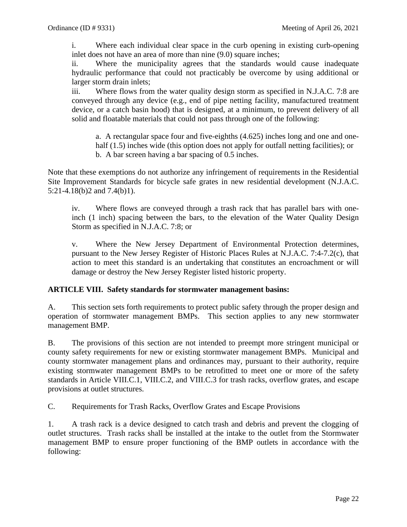i. Where each individual clear space in the curb opening in existing curb-opening inlet does not have an area of more than nine (9.0) square inches;

ii. Where the municipality agrees that the standards would cause inadequate hydraulic performance that could not practicably be overcome by using additional or larger storm drain inlets;

iii. Where flows from the water quality design storm as specified in N.J.A.C. 7:8 are conveyed through any device (e.g., end of pipe netting facility, manufactured treatment device, or a catch basin hood) that is designed, at a minimum, to prevent delivery of all solid and floatable materials that could not pass through one of the following:

a. A rectangular space four and five-eighths (4.625) inches long and one and onehalf (1.5) inches wide (this option does not apply for outfall netting facilities); or b. A bar screen having a bar spacing of 0.5 inches.

Note that these exemptions do not authorize any infringement of requirements in the Residential Site Improvement Standards for bicycle safe grates in new residential development (N.J.A.C. 5:21-4.18(b)2 and 7.4(b)1).

iv. Where flows are conveyed through a trash rack that has parallel bars with oneinch (1 inch) spacing between the bars, to the elevation of the Water Quality Design Storm as specified in N.J.A.C. 7:8; or

v. Where the New Jersey Department of Environmental Protection determines, pursuant to the New Jersey Register of Historic Places Rules at N.J.A.C. 7:4-7.2(c), that action to meet this standard is an undertaking that constitutes an encroachment or will damage or destroy the New Jersey Register listed historic property.

# **ARTICLE VIII. Safety standards for stormwater management basins:**

A. This section sets forth requirements to protect public safety through the proper design and operation of stormwater management BMPs. This section applies to any new stormwater management BMP.

B. The provisions of this section are not intended to preempt more stringent municipal or county safety requirements for new or existing stormwater management BMPs. Municipal and county stormwater management plans and ordinances may, pursuant to their authority, require existing stormwater management BMPs to be retrofitted to meet one or more of the safety standards in Article VIII.C.1, VIII.C.2, and VIII.C.3 for trash racks, overflow grates, and escape provisions at outlet structures.

C. Requirements for Trash Racks, Overflow Grates and Escape Provisions

1. A trash rack is a device designed to catch trash and debris and prevent the clogging of outlet structures. Trash racks shall be installed at the intake to the outlet from the Stormwater management BMP to ensure proper functioning of the BMP outlets in accordance with the following: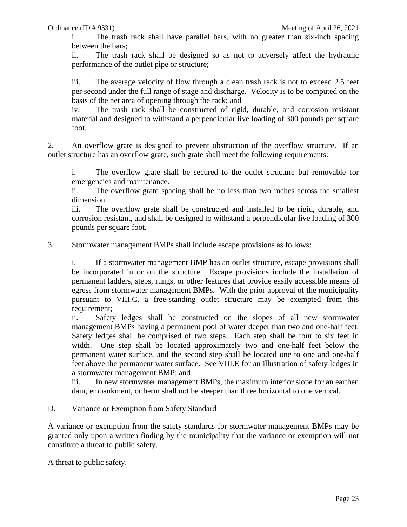i. The trash rack shall have parallel bars, with no greater than six-inch spacing between the bars;

ii. The trash rack shall be designed so as not to adversely affect the hydraulic performance of the outlet pipe or structure;

iii. The average velocity of flow through a clean trash rack is not to exceed 2.5 feet per second under the full range of stage and discharge. Velocity is to be computed on the basis of the net area of opening through the rack; and

iv. The trash rack shall be constructed of rigid, durable, and corrosion resistant material and designed to withstand a perpendicular live loading of 300 pounds per square foot.

2. An overflow grate is designed to prevent obstruction of the overflow structure. If an outlet structure has an overflow grate, such grate shall meet the following requirements:

i. The overflow grate shall be secured to the outlet structure but removable for emergencies and maintenance.

ii. The overflow grate spacing shall be no less than two inches across the smallest dimension

iii. The overflow grate shall be constructed and installed to be rigid, durable, and corrosion resistant, and shall be designed to withstand a perpendicular live loading of 300 pounds per square foot.

3. Stormwater management BMPs shall include escape provisions as follows:

i. If a stormwater management BMP has an outlet structure, escape provisions shall be incorporated in or on the structure. Escape provisions include the installation of permanent ladders, steps, rungs, or other features that provide easily accessible means of egress from stormwater management BMPs. With the prior approval of the municipality pursuant to VIII.C, a free-standing outlet structure may be exempted from this requirement;

ii. Safety ledges shall be constructed on the slopes of all new stormwater management BMPs having a permanent pool of water deeper than two and one-half feet. Safety ledges shall be comprised of two steps. Each step shall be four to six feet in width. One step shall be located approximately two and one-half feet below the permanent water surface, and the second step shall be located one to one and one-half feet above the permanent water surface. See VIII.E for an illustration of safety ledges in a stormwater management BMP; and

iii. In new stormwater management BMPs, the maximum interior slope for an earthen dam, embankment, or berm shall not be steeper than three horizontal to one vertical.

D. Variance or Exemption from Safety Standard

A variance or exemption from the safety standards for stormwater management BMPs may be granted only upon a written finding by the municipality that the variance or exemption will not constitute a threat to public safety.

A threat to public safety.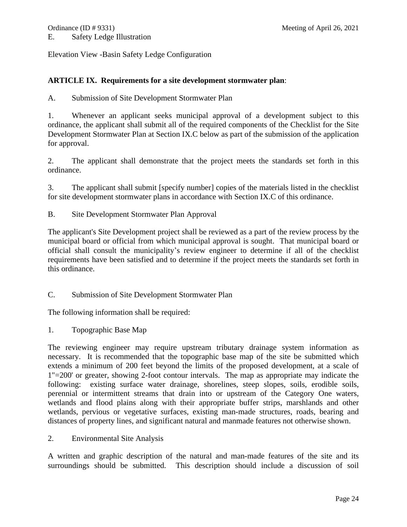Elevation View -Basin Safety Ledge Configuration

#### **ARTICLE IX. Requirements for a site development stormwater plan**:

A. Submission of Site Development Stormwater Plan

1. Whenever an applicant seeks municipal approval of a development subject to this ordinance, the applicant shall submit all of the required components of the Checklist for the Site Development Stormwater Plan at Section IX.C below as part of the submission of the application for approval.

2. The applicant shall demonstrate that the project meets the standards set forth in this ordinance.

3. The applicant shall submit [specify number] copies of the materials listed in the checklist for site development stormwater plans in accordance with Section IX.C of this ordinance.

B. Site Development Stormwater Plan Approval

The applicant's Site Development project shall be reviewed as a part of the review process by the municipal board or official from which municipal approval is sought. That municipal board or official shall consult the municipality's review engineer to determine if all of the checklist requirements have been satisfied and to determine if the project meets the standards set forth in this ordinance.

C. Submission of Site Development Stormwater Plan

The following information shall be required:

1. Topographic Base Map

The reviewing engineer may require upstream tributary drainage system information as necessary. It is recommended that the topographic base map of the site be submitted which extends a minimum of 200 feet beyond the limits of the proposed development, at a scale of 1"=200' or greater, showing 2-foot contour intervals. The map as appropriate may indicate the following: existing surface water drainage, shorelines, steep slopes, soils, erodible soils, perennial or intermittent streams that drain into or upstream of the Category One waters, wetlands and flood plains along with their appropriate buffer strips, marshlands and other wetlands, pervious or vegetative surfaces, existing man-made structures, roads, bearing and distances of property lines, and significant natural and manmade features not otherwise shown.

2. Environmental Site Analysis

A written and graphic description of the natural and man-made features of the site and its surroundings should be submitted. This description should include a discussion of soil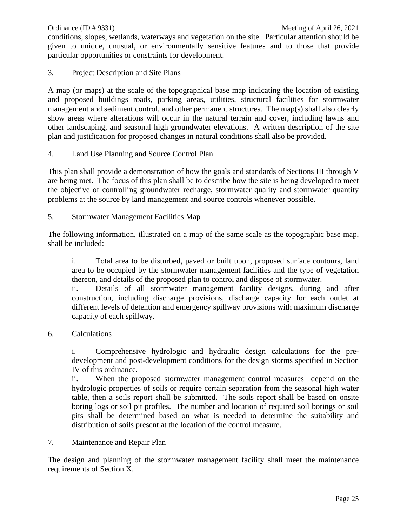conditions, slopes, wetlands, waterways and vegetation on the site. Particular attention should be given to unique, unusual, or environmentally sensitive features and to those that provide particular opportunities or constraints for development.

3. Project Description and Site Plans

A map (or maps) at the scale of the topographical base map indicating the location of existing and proposed buildings roads, parking areas, utilities, structural facilities for stormwater management and sediment control, and other permanent structures. The map(s) shall also clearly show areas where alterations will occur in the natural terrain and cover, including lawns and other landscaping, and seasonal high groundwater elevations. A written description of the site plan and justification for proposed changes in natural conditions shall also be provided.

4. Land Use Planning and Source Control Plan

This plan shall provide a demonstration of how the goals and standards of Sections III through V are being met. The focus of this plan shall be to describe how the site is being developed to meet the objective of controlling groundwater recharge, stormwater quality and stormwater quantity problems at the source by land management and source controls whenever possible.

5. Stormwater Management Facilities Map

The following information, illustrated on a map of the same scale as the topographic base map, shall be included:

i. Total area to be disturbed, paved or built upon, proposed surface contours, land area to be occupied by the stormwater management facilities and the type of vegetation thereon, and details of the proposed plan to control and dispose of stormwater.

ii. Details of all stormwater management facility designs, during and after construction, including discharge provisions, discharge capacity for each outlet at different levels of detention and emergency spillway provisions with maximum discharge capacity of each spillway.

6. Calculations

i. Comprehensive hydrologic and hydraulic design calculations for the predevelopment and post-development conditions for the design storms specified in Section IV of this ordinance.

ii. When the proposed stormwater management control measures depend on the hydrologic properties of soils or require certain separation from the seasonal high water table, then a soils report shall be submitted. The soils report shall be based on onsite boring logs or soil pit profiles. The number and location of required soil borings or soil pits shall be determined based on what is needed to determine the suitability and distribution of soils present at the location of the control measure.

7. Maintenance and Repair Plan

The design and planning of the stormwater management facility shall meet the maintenance requirements of Section X.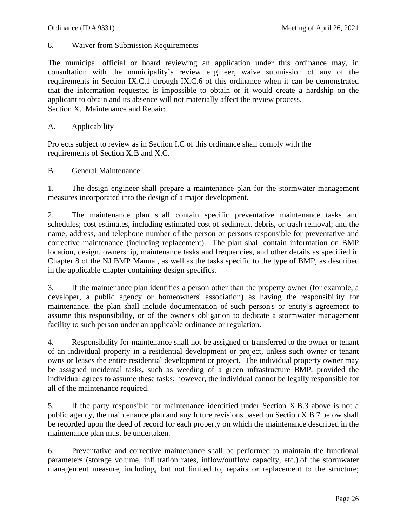8. Waiver from Submission Requirements

The municipal official or board reviewing an application under this ordinance may, in consultation with the municipality's review engineer, waive submission of any of the requirements in Section IX.C.1 through IX.C.6 of this ordinance when it can be demonstrated that the information requested is impossible to obtain or it would create a hardship on the applicant to obtain and its absence will not materially affect the review process. Section X. Maintenance and Repair:

A. Applicability

Projects subject to review as in Section I.C of this ordinance shall comply with the requirements of Section X.B and X.C.

B. General Maintenance

1. The design engineer shall prepare a maintenance plan for the stormwater management measures incorporated into the design of a major development.

2. The maintenance plan shall contain specific preventative maintenance tasks and schedules; cost estimates, including estimated cost of sediment, debris, or trash removal; and the name, address, and telephone number of the person or persons responsible for preventative and corrective maintenance (including replacement). The plan shall contain information on BMP location, design, ownership, maintenance tasks and frequencies, and other details as specified in Chapter 8 of the NJ BMP Manual, as well as the tasks specific to the type of BMP, as described in the applicable chapter containing design specifics.

3. If the maintenance plan identifies a person other than the property owner (for example, a developer, a public agency or homeowners' association) as having the responsibility for maintenance, the plan shall include documentation of such person's or entity's agreement to assume this responsibility, or of the owner's obligation to dedicate a stormwater management facility to such person under an applicable ordinance or regulation.

4. Responsibility for maintenance shall not be assigned or transferred to the owner or tenant of an individual property in a residential development or project, unless such owner or tenant owns or leases the entire residential development or project. The individual property owner may be assigned incidental tasks, such as weeding of a green infrastructure BMP, provided the individual agrees to assume these tasks; however, the individual cannot be legally responsible for all of the maintenance required.

5. If the party responsible for maintenance identified under Section X.B.3 above is not a public agency, the maintenance plan and any future revisions based on Section X.B.7 below shall be recorded upon the deed of record for each property on which the maintenance described in the maintenance plan must be undertaken.

6. Preventative and corrective maintenance shall be performed to maintain the functional parameters (storage volume, infiltration rates, inflow/outflow capacity, etc.).of the stormwater management measure, including, but not limited to, repairs or replacement to the structure;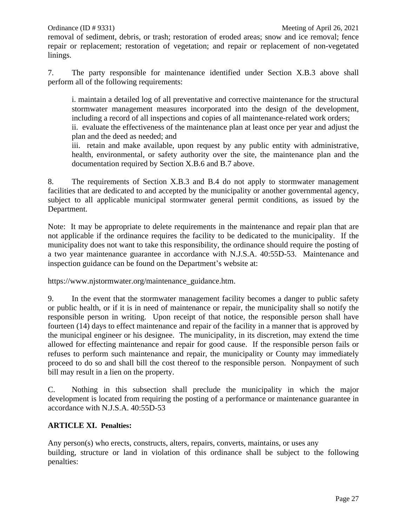removal of sediment, debris, or trash; restoration of eroded areas; snow and ice removal; fence repair or replacement; restoration of vegetation; and repair or replacement of non-vegetated linings.

7. The party responsible for maintenance identified under Section X.B.3 above shall perform all of the following requirements:

i. maintain a detailed log of all preventative and corrective maintenance for the structural stormwater management measures incorporated into the design of the development, including a record of all inspections and copies of all maintenance-related work orders;

ii. evaluate the effectiveness of the maintenance plan at least once per year and adjust the plan and the deed as needed; and

iii. retain and make available, upon request by any public entity with administrative, health, environmental, or safety authority over the site, the maintenance plan and the documentation required by Section X.B.6 and B.7 above.

8. The requirements of Section X.B.3 and B.4 do not apply to stormwater management facilities that are dedicated to and accepted by the municipality or another governmental agency, subject to all applicable municipal stormwater general permit conditions, as issued by the Department.

Note: It may be appropriate to delete requirements in the maintenance and repair plan that are not applicable if the ordinance requires the facility to be dedicated to the municipality. If the municipality does not want to take this responsibility, the ordinance should require the posting of a two year maintenance guarantee in accordance with N.J.S.A. 40:55D-53. Maintenance and inspection guidance can be found on the Department's website at:

https://www.njstormwater.org/maintenance\_guidance.htm.

9. In the event that the stormwater management facility becomes a danger to public safety or public health, or if it is in need of maintenance or repair, the municipality shall so notify the responsible person in writing. Upon receipt of that notice, the responsible person shall have fourteen (14) days to effect maintenance and repair of the facility in a manner that is approved by the municipal engineer or his designee. The municipality, in its discretion, may extend the time allowed for effecting maintenance and repair for good cause. If the responsible person fails or refuses to perform such maintenance and repair, the municipality or County may immediately proceed to do so and shall bill the cost thereof to the responsible person. Nonpayment of such bill may result in a lien on the property.

C. Nothing in this subsection shall preclude the municipality in which the major development is located from requiring the posting of a performance or maintenance guarantee in accordance with N.J.S.A. 40:55D-53

# **ARTICLE XI. Penalties:**

Any person(s) who erects, constructs, alters, repairs, converts, maintains, or uses any building, structure or land in violation of this ordinance shall be subject to the following penalties: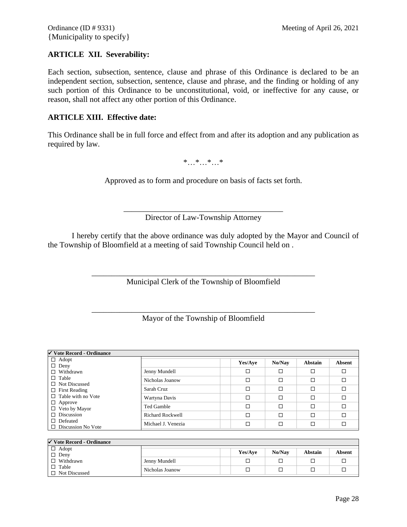#### **ARTICLE XII. Severability:**

Each section, subsection, sentence, clause and phrase of this Ordinance is declared to be an independent section, subsection, sentence, clause and phrase, and the finding or holding of any such portion of this Ordinance to be unconstitutional, void, or ineffective for any cause, or reason, shall not affect any other portion of this Ordinance.

#### **ARTICLE XIII. Effective date:**

This Ordinance shall be in full force and effect from and after its adoption and any publication as required by law.

\*…\*…\*…\*

Approved as to form and procedure on basis of facts set forth.

\_\_\_\_\_\_\_\_\_\_\_\_\_\_\_\_\_\_\_\_\_\_\_\_\_\_\_\_\_\_\_\_\_\_\_\_\_\_\_\_ Director of Law-Township Attorney

I hereby certify that the above ordinance was duly adopted by the Mayor and Council of the Township of Bloomfield at a meeting of said Township Council held on .

> \_\_\_\_\_\_\_\_\_\_\_\_\_\_\_\_\_\_\_\_\_\_\_\_\_\_\_\_\_\_\_\_\_\_\_\_\_\_\_\_\_\_\_\_\_\_\_\_\_\_\_\_\_\_\_\_ Municipal Clerk of the Township of Bloomfield

> \_\_\_\_\_\_\_\_\_\_\_\_\_\_\_\_\_\_\_\_\_\_\_\_\_\_\_\_\_\_\_\_\_\_\_\_\_\_\_\_\_\_\_\_\_\_\_\_\_\_\_\_\_\_\_\_ Mayor of the Township of Bloomfield

| $\checkmark$ Vote Record - Ordinance                                                                          |                    |         |        |                |        |
|---------------------------------------------------------------------------------------------------------------|--------------------|---------|--------|----------------|--------|
| $\Box$ Adopt<br>$\Box$ Deny                                                                                   |                    | Yes/Aye | No/Nav | <b>Abstain</b> | Absent |
| $\Box$ Withdrawn<br>$\Box$ Table<br>$\Box$ Not Discussed<br>$\Box$ First Reading<br>$\Box$ Table with no Vote | Jenny Mundell      | □       | □      | □              | □      |
|                                                                                                               | Nicholas Joanow    | □       | □      | □              | □      |
|                                                                                                               | Sarah Cruz         | □       | □      | $\Box$         | □      |
|                                                                                                               | Wartyna Davis      | □       | □      | □              | □      |
| $\Box$ Approve<br>$\Box$ Veto by Mayor                                                                        | Ted Gamble         | □       | □      | $\Box$         | п      |
| $\Box$ Discussion                                                                                             | Richard Rockwell   | □       | □      | $\Box$         | □      |
| $\Box$ Defeated<br>$\Box$ Discussion No Vote                                                                  | Michael J. Venezia | □       | □      | $\Box$         | □      |

| $\sqrt{\ }$ Vote Record - Ordinance |                 |         |        |         |        |
|-------------------------------------|-----------------|---------|--------|---------|--------|
| $\Box$ Adopt<br>$\Box$ Deny         |                 | Yes/Ave | No/Nav | Abstain | Absent |
| $\Box$ Withdrawn                    | Jenny Mundell   |         |        |         |        |
| Table<br>$\Box$ Not Discussed       | Nicholas Joanow |         |        |         |        |